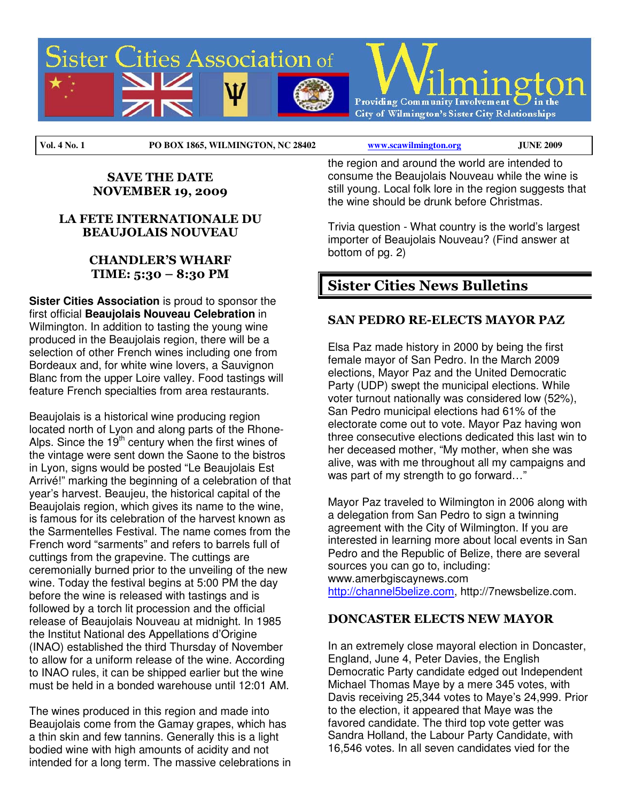

**Vol. 4 No. 1 PO BOX 1865, WILMINGTON, NC 28402 www.scawilmington.org JUNE 2009** 

#### SAVE THE DATE NOVEMBER 19, 2009

#### LA FETE INTERNATIONALE DU BEAUJOLAIS NOUVEAU

### CHANDLER'S WHARF TIME: 5:30 – 8:30 PM

**Sister Cities Association** is proud to sponsor the first official **Beaujolais Nouveau Celebration** in Wilmington. In addition to tasting the young wine produced in the Beaujolais region, there will be a selection of other French wines including one from Bordeaux and, for white wine lovers, a Sauvignon Blanc from the upper Loire valley. Food tastings will feature French specialties from area restaurants.

Beaujolais is a historical wine producing region located north of Lyon and along parts of the Rhone-Alps. Since the  $19<sup>th</sup>$  century when the first wines of the vintage were sent down the Saone to the bistros in Lyon, signs would be posted "Le Beaujolais Est Arrivé!" marking the beginning of a celebration of that year's harvest. Beaujeu, the historical capital of the Beaujolais region, which gives its name to the wine, is famous for its celebration of the harvest known as the Sarmentelles Festival. The name comes from the French word "sarments" and refers to barrels full of cuttings from the grapevine. The cuttings are ceremonially burned prior to the unveiling of the new wine. Today the festival begins at 5:00 PM the day before the wine is released with tastings and is followed by a torch lit procession and the official release of Beaujolais Nouveau at midnight. In 1985 the Institut National des Appellations d'Origine (INAO) established the third Thursday of November to allow for a uniform release of the wine. According to INAO rules, it can be shipped earlier but the wine must be held in a bonded warehouse until 12:01 AM.

The wines produced in this region and made into Beaujolais come from the Gamay grapes, which has a thin skin and few tannins. Generally this is a light bodied wine with high amounts of acidity and not intended for a long term. The massive celebrations in the region and around the world are intended to consume the Beaujolais Nouveau while the wine is still young. Local folk lore in the region suggests that the wine should be drunk before Christmas.

Trivia question - What country is the world's largest importer of Beaujolais Nouveau? (Find answer at bottom of pg. 2)

# Sister Cities News Bulletins

## SAN PEDRO RE-ELECTS MAYOR PAZ

Elsa Paz made history in 2000 by being the first female mayor of San Pedro. In the March 2009 elections, Mayor Paz and the United Democratic Party (UDP) swept the municipal elections. While voter turnout nationally was considered low (52%), San Pedro municipal elections had 61% of the electorate come out to vote. Mayor Paz having won three consecutive elections dedicated this last win to her deceased mother, "My mother, when she was alive, was with me throughout all my campaigns and was part of my strength to go forward..."

Mayor Paz traveled to Wilmington in 2006 along with a delegation from San Pedro to sign a twinning agreement with the City of Wilmington. If you are interested in learning more about local events in San Pedro and the Republic of Belize, there are several sources you can go to, including: www.amerbgiscaynews.com http://channel5belize.com, http://7newsbelize.com.

#### DONCASTER ELECTS NEW MAYOR

In an extremely close mayoral election in Doncaster, England, June 4, Peter Davies, the English Democratic Party candidate edged out Independent Michael Thomas Maye by a mere 345 votes, with Davis receiving 25,344 votes to Maye's 24,999. Prior to the election, it appeared that Maye was the favored candidate. The third top vote getter was Sandra Holland, the Labour Party Candidate, with 16,546 votes. In all seven candidates vied for the